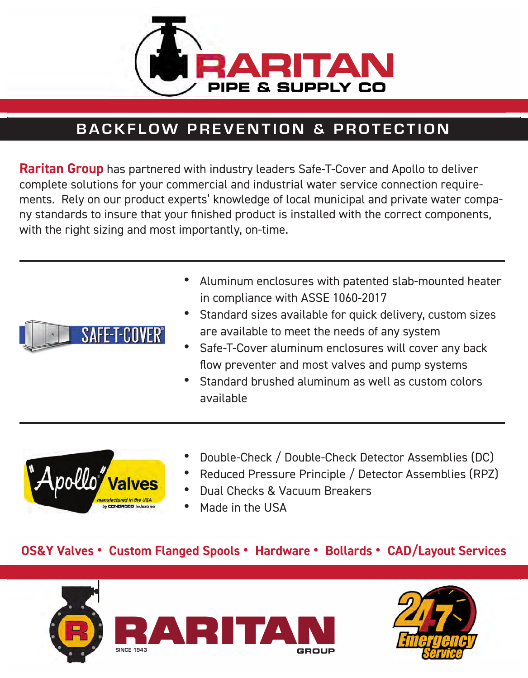

## **BACKFLOW PREVENTION & PROTECTION**

**Raritan Group** has partnered with industry leaders Safe-T-Cover and Apollo to deliver complete solutions for your commercial and industrial water service connection requirements. Rely on our product experts' knowledge of local municipal and private water company standards to insure that your finished product is installed with the correct components, with the right sizing and most importantly, on-time.



- Aluminum enclosures with patented slab-mounted heater in compliance with ASSE 1060-2017
- Standard sizes available for quick delivery, custom sizes are available to meet the needs of any system
- Safe-T-Cover aluminum enclosures will cover any back flow preventer and most valves and pump systems
- Standard brushed aluminum as well as custom colors available



- Double-Check / Double-Check Detector Assemblies (DC)
- Reduced Pressure Principle / Detector Assemblies (RPZ)
- Dual Checks & Vacuum Breakers
- Made in the USA

## **OS&Y Valves • Custom Flanged Spools • Hardware • Bollards • CAD/Layout Services**